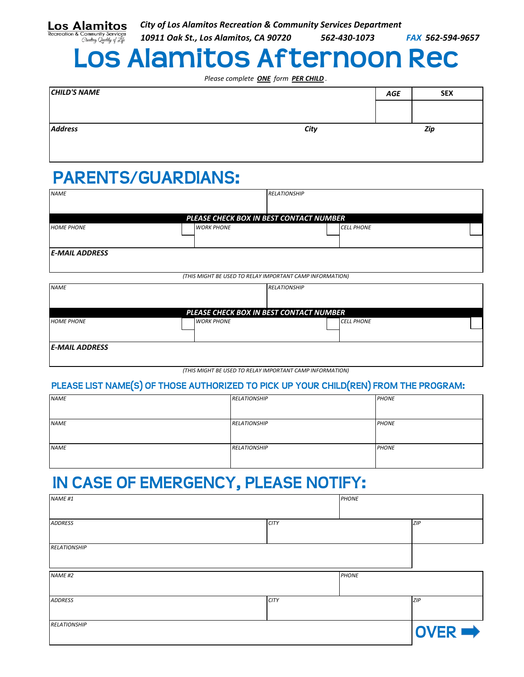| <b>RELATIONSHIP</b> |             |              | $\overline{OVER}$ |
|---------------------|-------------|--------------|-------------------|
| <b>ADDRESS</b>      | <b>CITY</b> |              | ZIP               |
| <b>NAME #2</b>      |             | <b>PHONE</b> |                   |
|                     |             |              |                   |

## **IN CASE OF EMERGENCY, PLEASE NOTIFY:**

*ADDRESS CITY ZIP*

*NAME #1 PHONE*

*HOME PHONE WORK PHONE CELL PHONE*

| PLEASE LIST NAME(S) OF THOSE AUTHORIZED TO PICK UP YOUR CHILD(REN) FROM THE PROGRAM: |                     |              |  |  |  |
|--------------------------------------------------------------------------------------|---------------------|--------------|--|--|--|
| <b>NAME</b>                                                                          | <b>RELATIONSHIP</b> | <b>PHONE</b> |  |  |  |
| <b>NAME</b>                                                                          | <b>RELATIONSHIP</b> | <b>PHONE</b> |  |  |  |
| <b>NAME</b>                                                                          | <b>RELATIONSHIP</b> | <b>PHONE</b> |  |  |  |

## **PLEASE LIST NAME(S) OF THOSE AUTHORIZED TO PICK UP YOUR CHILD(REN) FROM THE PROGRAM:**

| <b>NAME</b>           |                                                          | <b>RELATIONSHIP</b> |  |
|-----------------------|----------------------------------------------------------|---------------------|--|
|                       |                                                          |                     |  |
|                       | PLEASE CHECK BOX IN BEST CONTACT NUMBER                  |                     |  |
| <b>HOME PHONE</b>     | <b>WORK PHONE</b>                                        | <b>CELL PHONE</b>   |  |
|                       |                                                          |                     |  |
| <b>E-MAIL ADDRESS</b> |                                                          |                     |  |
|                       |                                                          |                     |  |
|                       | (THIS MIGHT BE USED TO RELAY IMPORTANT CAMP INFORMATION) |                     |  |
|                       |                                                          |                     |  |

*(THIS MIGHT BE USED TO RELAY IMPORTANT CAMP INFORMATION)*

*PLEASE CHECK BOX IN BEST CONTACT NUMBER*

## *NAME RELATIONSHIP* **PARENTS/GUARDIANS:**

|              | Please complete <b>ONE</b> form <b>PER CHILD</b> . |            |            |  |
|--------------|----------------------------------------------------|------------|------------|--|
| CHILD'S NAME |                                                    | <b>AGE</b> | <b>SEX</b> |  |
|              |                                                    |            |            |  |
|              |                                                    |            |            |  |
| Address      | City                                               |            | Zip        |  |
|              |                                                    |            |            |  |

|          |  |  |  | <b>City of Los Alamitos Recreation &amp; Community Services Department</b> |  |              |  |
|----------|--|--|--|----------------------------------------------------------------------------|--|--------------|--|
| $\cdots$ |  |  |  | -------                                                                    |  | --- --- ---- |  |

*10911 Oak St., Los Alamitos, CA 90720 562-430-1073 FAX 562-594-9657*

|  |  |  | <b>Los Alamitos Afternoon Rec</b> |  |
|--|--|--|-----------------------------------|--|
|  |  |  |                                   |  |
|  |  |  |                                   |  |

*Please complete ONE form PER CHILD .*

| os Alamitos |  | City |
|-------------|--|------|

L

*E-MAIL ADDRESS*

*RELATIONSHIP*